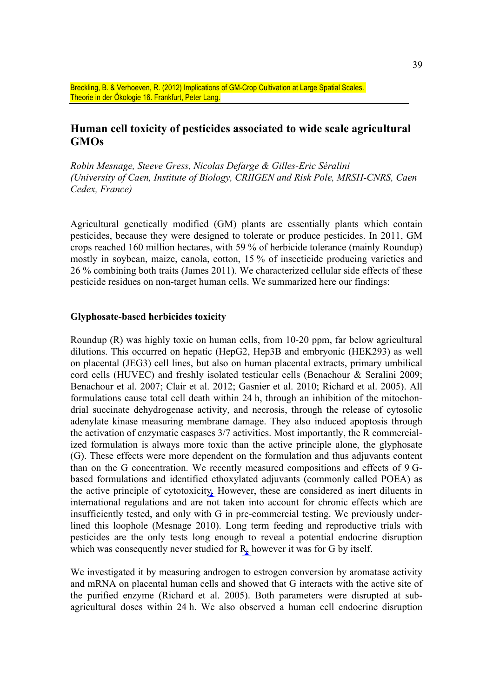Breckling, B. & Verhoeven, R. (2012) Implications of GM-Crop Cultivation at Large Spatial Scales. Theorie in der Ökologie 16. Frankfurt, Peter Lang.

# **Human cell toxicity of pesticides associated to wide scale agricultural GMOs**

*Robin Mesnage, Steeve Gress, Nicolas Defarge & Gilles-Eric Séralini (University of Caen, Institute of Biology, CRIIGEN and Risk Pole, MRSH-CNRS, Caen Cedex, France)*

Agricultural genetically modified (GM) plants are essentially plants which contain pesticides, because they were designed to tolerate or produce pesticides. In 2011, GM crops reached 160 million hectares, with 59 % of herbicide tolerance (mainly Roundup) mostly in soybean, maize, canola, cotton, 15 % of insecticide producing varieties and 26 % combining both traits (James 2011). We characterized cellular side effects of these pesticide residues on non-target human cells. We summarized here our findings:

### **Glyphosate-based herbicides toxicity**

Roundup (R) was highly toxic on human cells, from 10-20 ppm, far below agricultural dilutions. This occurred on hepatic (HepG2, Hep3B and embryonic (HEK293) as well on placental (JEG3) cell lines, but also on human placental extracts, primary umbilical cord cells (HUVEC) and freshly isolated testicular cells (Benachour & Seralini 2009; Benachour et al. 2007; Clair et al. 2012; Gasnier et al. 2010; Richard et al. 2005). All formulations cause total cell death within 24 h, through an inhibition of the mitochondrial succinate dehydrogenase activity, and necrosis, through the release of cytosolic adenylate kinase measuring membrane damage. They also induced apoptosis through the activation of enzymatic caspases 3/7 activities. Most importantly, the R commercialized formulation is always more toxic than the active principle alone, the glyphosate (G). These effects were more dependent on the formulation and thus adjuvants content than on the G concentration. We recently measured compositions and effects of 9 Gbased formulations and identified ethoxylated adjuvants (commonly called POEA) as the active principle of cytotoxicity. However, these are considered as inert diluents in international regulations and are not taken into account for chronic effects which are insufficiently tested, and only with G in pre-commercial testing. We previously underlined this loophole (Mesnage 2010). Long term feeding and reproductive trials with pesticides are the only tests long enough to reveal a potential endocrine disruption which was consequently never studied for  $R<sub>k</sub>$  however it was for G by itself.

We investigated it by measuring androgen to estrogen conversion by aromatase activity and mRNA on placental human cells and showed that G interacts with the active site of the purified enzyme (Richard et al. 2005). Both parameters were disrupted at subagricultural doses within 24 h. We also observed a human cell endocrine disruption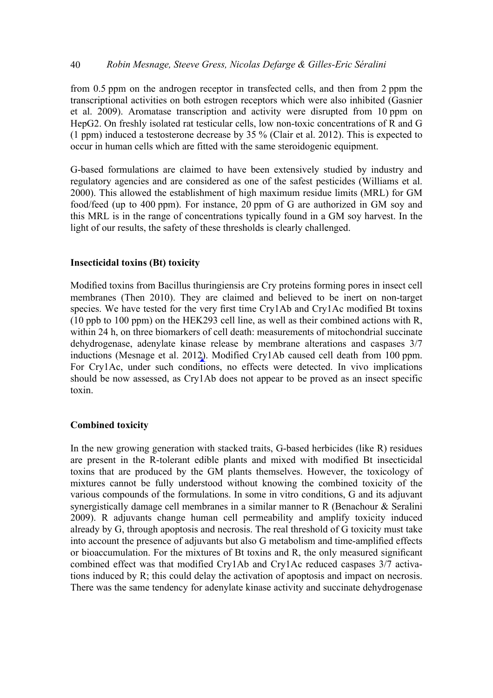### 40 *Robin Mesnage, Steeve Gress, Nicolas Defarge & Gilles-Eric Séralini*

from 0.5 ppm on the androgen receptor in transfected cells, and then from 2 ppm the transcriptional activities on both estrogen receptors which were also inhibited (Gasnier et al. 2009). Aromatase transcription and activity were disrupted from 10 ppm on HepG2. On freshly isolated rat testicular cells, low non-toxic concentrations of R and G (1 ppm) induced a testosterone decrease by 35 % (Clair et al. 2012). This is expected to occur in human cells which are fitted with the same steroidogenic equipment.

G-based formulations are claimed to have been extensively studied by industry and regulatory agencies and are considered as one of the safest pesticides (Williams et al. 2000). This allowed the establishment of high maximum residue limits (MRL) for GM food/feed (up to 400 ppm). For instance, 20 ppm of G are authorized in GM soy and this MRL is in the range of concentrations typically found in a GM soy harvest. In the light of our results, the safety of these thresholds is clearly challenged.

## **Insecticidal toxins (Bt) toxicity**

Modified toxins from Bacillus thuringiensis are Cry proteins forming pores in insect cell membranes (Then 2010). They are claimed and believed to be inert on non-target species. We have tested for the very first time Cry1Ab and Cry1Ac modified Bt toxins (10 ppb to 100 ppm) on the HEK293 cell line, as well as their combined actions with R, within 24 h, on three biomarkers of cell death: measurements of mitochondrial succinate dehydrogenase, adenylate kinase release by membrane alterations and caspases 3/7 inductions (Mesnage et al. 2012). Modified Cry1Ab caused cell death from 100 ppm. For Cry1Ac, under such conditions, no effects were detected. In vivo implications should be now assessed, as Cry1Ab does not appear to be proved as an insect specific toxin.

### **Combined toxicity**

In the new growing generation with stacked traits, G-based herbicides (like R) residues are present in the R-tolerant edible plants and mixed with modified Bt insecticidal toxins that are produced by the GM plants themselves. However, the toxicology of mixtures cannot be fully understood without knowing the combined toxicity of the various compounds of the formulations. In some in vitro conditions, G and its adjuvant synergistically damage cell membranes in a similar manner to R (Benachour & Seralini 2009). R adjuvants change human cell permeability and amplify toxicity induced already by G, through apoptosis and necrosis. The real threshold of G toxicity must take into account the presence of adjuvants but also G metabolism and time-amplified effects or bioaccumulation. For the mixtures of Bt toxins and R, the only measured significant combined effect was that modified Cry1Ab and Cry1Ac reduced caspases 3/7 activations induced by R; this could delay the activation of apoptosis and impact on necrosis. There was the same tendency for adenylate kinase activity and succinate dehydrogenase